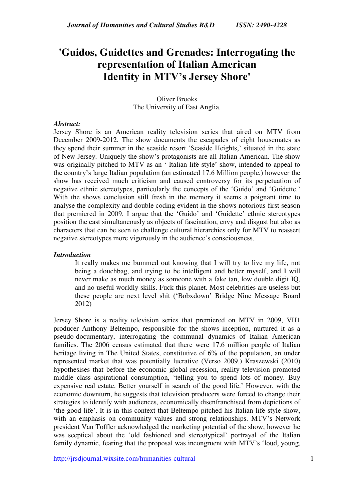# **'Guidos, Guidettes and Grenades: Interrogating the representation of Italian American Identity in MTV's Jersey Shore'**

Oliver Brooks The University of East Anglia.

#### *Abstract:*

Jersey Shore is an American reality television series that aired on MTV from December 2009-2012. The show documents the escapades of eight housemates as they spend their summer in the seaside resort 'Seaside Heights,' situated in the state of New Jersey. Uniquely the show's protagonists are all Italian American. The show was originally pitched to MTV as an ' Italian life style' show, intended to appeal to the country's large Italian population (an estimated 17.6 Million people,) however the show has received much criticism and caused controversy for its perpetuation of negative ethnic stereotypes, particularly the concepts of the 'Guido' and 'Guidette.' With the shows conclusion still fresh in the memory it seems a poignant time to analyse the complexity and double coding evident in the shows notorious first season that premiered in 2009. I argue that the 'Guido' and 'Guidette' ethnic stereotypes position the cast simultaneously as objects of fascination, envy and disgust but also as characters that can be seen to challenge cultural hierarchies only for MTV to reassert negative stereotypes more vigorously in the audience's consciousness.

## *Introduction*

It really makes me bummed out knowing that I will try to live my life, not being a douchbag, and trying to be intelligent and better myself, and I will never make as much money as someone with a fake tan, low double digit IQ, and no useful worldly skills. Fuck this planet. Most celebrities are useless but these people are next level shit ('Bobxdown' Bridge Nine Message Board 2012)

Jersey Shore is a reality television series that premiered on MTV in 2009, VH1 producer Anthony Beltempo, responsible for the shows inception, nurtured it as a pseudo-documentary, interrogating the communal dynamics of Italian American families. The 2006 census estimated that there were 17.6 million people of Italian heritage living in The United States, constitutive of 6% of the population, an under represented market that was potentially lucrative (Verso 2009.) Kraszewski (2010) hypothesises that before the economic global recession, reality television promoted middle class aspirational consumption, 'telling you to spend lots of money. Buy expensive real estate. Better yourself in search of the good life.' However, with the economic downturn, he suggests that television producers were forced to change their strategies to identify with audiences, economically disenfranchised from depictions of 'the good life'. It is in this context that Beltempo pitched his Italian life style show, with an emphasis on community values and strong relationships. MTV's Network president Van Toffler acknowledged the marketing potential of the show, however he was sceptical about the 'old fashioned and stereotypical' portrayal of the Italian family dynamic, fearing that the proposal was incongruent with MTV's 'loud, young,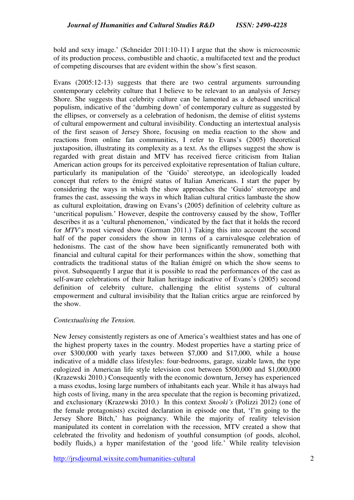bold and sexy image.' (Schneider 2011:10-11) I argue that the show is microcosmic of its production process, combustible and chaotic, a multifaceted text and the product of competing discourses that are evident within the show's first season.

Evans (2005:12-13) suggests that there are two central arguments surrounding contemporary celebrity culture that I believe to be relevant to an analysis of Jersey Shore. She suggests that celebrity culture can be lamented as a debased uncritical populism, indicative of the 'dumbing down' of contemporary culture as suggested by the ellipses, or conversely as a celebration of hedonism, the demise of elitist systems of cultural empowerment and cultural invisibility. Conducting an intertextual analysis of the first season of Jersey Shore, focusing on media reaction to the show and reactions from online fan communities, I refer to Evans's (2005) theoretical juxtaposition, illustrating its complexity as a text. As the ellipses suggest the show is regarded with great distain and MTV has received fierce criticism from Italian American action groups for its perceived exploitative representation of Italian culture, particularly its manipulation of the 'Guido' stereotype, an ideologically loaded concept that refers to the émigré status of Italian Americans. I start the paper by considering the ways in which the show approaches the 'Guido' stereotype and frames the cast, assessing the ways in which Italian cultural critics lambaste the show as cultural exploitation, drawing on Evans's (2005) definition of celebrity culture as 'uncritical populism.' However, despite the controversy caused by the show, Toffler describes it as a 'cultural phenomenon,' vindicated by the fact that it holds the record for *MTV*'s most viewed show (Gorman 2011.) Taking this into account the second half of the paper considers the show in terms of a carnivalesque celebration of hedonisms. The cast of the show have been significantly remunerated both with financial and cultural capital for their performances within the show, something that contradicts the traditional status of the Italian émigré on which the show seems to pivot. Subsequently I argue that it is possible to read the performances of the cast as self-aware celebrations of their Italian heritage indicative of Evans's (2005) second definition of celebrity culture, challenging the elitist systems of cultural empowerment and cultural invisibility that the Italian critics argue are reinforced by the show.

## *Contextualising the Tension.*

New Jersey consistently registers as one of America's wealthiest states and has one of the highest property taxes in the country. Modest properties have a starting price of over \$300,000 with yearly taxes between \$7,000 and \$17,000, while a house indicative of a middle class lifestyles: four-bedrooms, garage, sizable lawn, the type eulogized in American life style television cost between \$500,000 and \$1,000,000 (Krazewski 2010.) Consequently with the economic downturn, Jersey has experienced a mass exodus, losing large numbers of inhabitants each year. While it has always had high costs of living, many in the area speculate that the region is becoming privatized, and exclusionary (Krazewski 2010.) In this context *Snooki's* (Polizzi 2012) (one of the female protagonists) excited declaration in episode one that, 'I'm going to the Jersey Shore Bitch,' has poignancy. While the majority of reality television manipulated its content in correlation with the recession, MTV created a show that celebrated the frivolity and hedonism of youthful consumption (of goods, alcohol, bodily fluids,) a hyper manifestation of the 'good life.' While reality television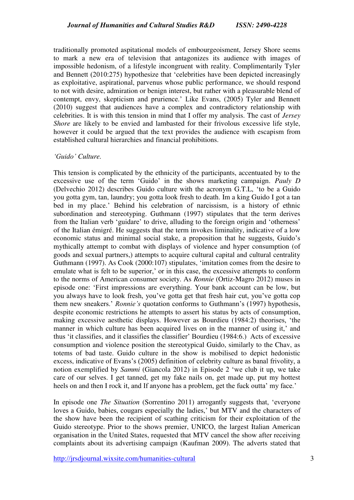traditionally promoted aspitational models of embourgeoisment, Jersey Shore seems to mark a new era of television that antagonizes its audience with images of impossible hedonism, of a lifestyle incongruent with reality. Complimentarily Tyler and Bennett (2010:275) hypothesize that 'celebrities have been depicted increasingly as exploitative, aspirational, parvenus whose public performance, we should respond to not with desire, admiration or benign interest, but rather with a pleasurable blend of contempt, envy, skepticism and prurience.' Like Evans, (2005) Tyler and Bennett (2010) suggest that audiences have a complex and contradictory relationship with celebrities. It is with this tension in mind that I offer my analysis. The cast of *Jersey Shore* are likely to be envied and lambasted for their frivolous excessive life style, however it could be argued that the text provides the audience with escapism from established cultural hierarchies and financial prohibitions.

#### *'Guido' Culture.*

This tension is complicated by the ethnicity of the participants, accentuated by to the excessive use of the term 'Guido' in the shows marketing campaign. *Pauly D* (Delvechio 2012) describes Guido culture with the acronym G.T.L, 'to be a Guido you gotta gym, tan, laundry; you gotta look fresh to death. Im a king Guido I got a tan bed in my place.' Behind his celebration of narcissism, is a history of ethnic subordination and stereotyping. Guthmann (1997) stipulates that the term derives from the Italian verb 'guidare' to drive, alluding to the foreign origin and 'otherness' of the Italian émigré. He suggests that the term invokes liminality, indicative of a low economic status and minimal social stake, a proposition that he suggests, Guido's mythically attempt to combat with displays of violence and hyper consumption (of goods and sexual partners,) attempts to acquire cultural capital and cultural centrality Guthmann (1997). As Cook (2000:107) stipulates, 'imitation comes from the desire to emulate what is felt to be superior,' or in this case, the excessive attempts to conform to the norms of American consumer society. As *Ronnie* (Ortiz-Magro 2012) muses in episode one: 'First impressions are everything. Your bank account can be low, but you always have to look fresh, you've gotta get that fresh hair cut, you've gotta cop them new sneakers.' *Ronnie's* quotation conforms to Guthmann's (1997) hypothesis, despite economic restrictions he attempts to assert his status by acts of consumption, making excessive aesthetic displays. However as Bourdieu (1984:2) theorises, 'the manner in which culture has been acquired lives on in the manner of using it,' and thus 'it classifies, and it classifies the classifier' Bourdieu (1984:6.) Acts of excessive consumption and violence position the stereotypical Guido, similarly to the Chav, as totems of bad taste. Guido culture in the show is mobilised to depict hedonistic excess, indicative of Evans's (2005) definition of celebrity culture as banal frivolity, a notion exemplified by *Sammi* (Giancola 2012) in Episode 2 'we club it up, we take care of our selves. I get tanned, get my fake nails on, get made up, put my hottest heels on and then I rock it, and If anyone has a problem, get the fuck outta' my face.'

In episode one *The Situation* (Sorrentino 2011) arrogantly suggests that, 'everyone loves a Guido, babies, cougars especially the ladies,' but MTV and the characters of the show have been the recipient of scathing criticism for their exploitation of the Guido stereotype. Prior to the shows premier, UNICO, the largest Italian American organisation in the United States, requested that MTV cancel the show after receiving complaints about its advertising campaign (Kaufman 2009). The adverts stated that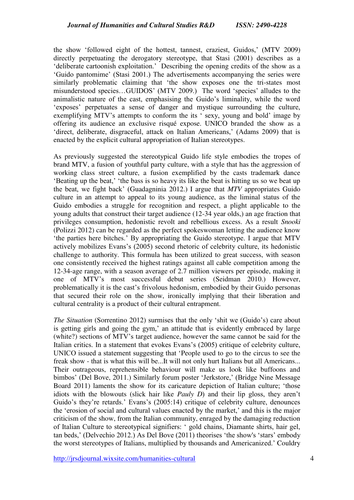the show 'followed eight of the hottest, tannest, craziest, Guidos,' (MTV 2009) directly perpetuating the derogatory stereotype, that Stasi (2001) describes as a 'deliberate cartoonish exploitation.' Describing the opening credits of the show as a 'Guido pantomime' (Stasi 2001.) The advertisements accompanying the series were similarly problematic claiming that 'the show exposes one the tri-states most misunderstood species…GUIDOS' (MTV 2009.) The word 'species' alludes to the animalistic nature of the cast, emphasising the Guido's liminality, while the word 'exposes' perpetuates a sense of danger and mystique surrounding the culture, exemplifying MTV's attempts to conform the its ' sexy, young and bold' image by offering its audience an exclusive risqué expose. UNICO branded the show as a 'direct, deliberate, disgraceful, attack on Italian Americans,' (Adams 2009) that is enacted by the explicit cultural appropriation of Italian stereotypes.

As previously suggested the stereotypical Guido life style embodies the tropes of brand MTV, a fusion of youthful party culture, with a style that has the aggression of working class street culture, a fusion exemplified by the casts trademark dance 'Beating up the beat,' 'the bass is so heavy its like the beat is hitting us so we beat up the beat, we fight back' (Guadagninia 2012.) I argue that *MTV* appropriates Guido culture in an attempt to appeal to its young audience, as the liminal status of the Guido embodies a struggle for recognition and respect, a plight applicable to the young adults that construct their target audience (12-34 year olds,) an age fraction that privileges consumption, hedonistic revolt and rebellious excess. As a result *Snooki* (Polizzi 2012) can be regarded as the perfect spokeswoman letting the audience know 'the parties here bitches.' By appropriating the Guido stereotype. I argue that MTV actively mobilizes Evans's (2005) second rhetoric of celebrity culture, its hedonistic challenge to authority. This formula has been utilized to great success, with season one consistently received the highest ratings against all cable competition among the 12-34-age range, with a season average of 2.7 million viewers per episode, making it one of MTV's most successful debut series (Seidman 2010.) However, problematically it is the cast's frivolous hedonism, embodied by their Guido personas that secured their role on the show, ironically implying that their liberation and cultural centrality is a product of their cultural entrapment.

*The Situation* (Sorrentino 2012) surmises that the only 'shit we (Guido's) care about is getting girls and going the gym,' an attitude that is evidently embraced by large (white?) sections of MTV's target audience, however the same cannot be said for the Italian critics. In a statement that evokes Evans's (2005) critique of celebrity culture, UNICO issued a statement suggesting that 'People used to go to the circus to see the freak show - that is what this will be...It will not only hurt Italians but all Americans... Their outrageous, reprehensible behaviour will make us look like buffoons and bimbos' (Del Bove, 2011.) Similarly forum poster 'Jerkstore,' (Bridge Nine Message Board 2011) laments the show for its caricature depiction of Italian culture; 'those idiots with the blowouts (slick hair like *Pauly D*) and their lip gloss, they aren't Guido's they're retards.' Evans's (2005:14) critique of celebrity culture, denounces the 'erosion of social and cultural values enacted by the market,' and this is the major criticism of the show, from the Italian community, enraged by the damaging reduction of Italian Culture to stereotypical signifiers: ' gold chains, Diamante shirts, hair gel, tan beds,' (Delvechio 2012.) As Del Bove (2011) theorises 'the show's 'stars' embody the worst stereotypes of Italians, multiplied by thousands and Americanized.' Couldry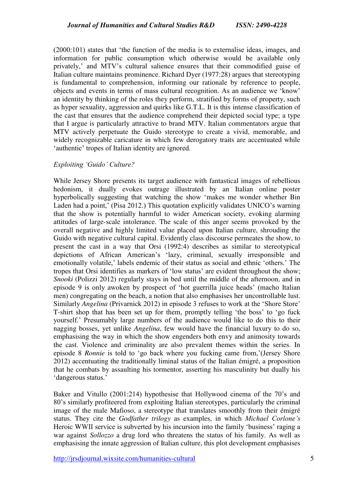(2000:101) states that 'the function of the media is to externalise ideas, images, and information for public consumption which otherwise would be available only privately,' and MTV's cultural salience ensures that their commodified guise of Italian culture maintains prominence. Richard Dyer (1977:28) argues that stereotyping is fundamental to comprehension, informing our rationale by reference to people, objects and events in terms of mass cultural recognition. As an audience we 'know' an identity by thinking of the roles they perform, stratified by forms of property, such as hyper sexuality, aggression and quirks like G.T.L. It is this intense classification of the cast that ensures that the audience comprehend their depicted social type; a type that I argue is particularly attractive to brand MTV. Italian commentators argue that MTV actively perpetuate the Guido stereotype to create a vivid, memorable, and widely recognizable caricature in which few derogatory traits are accentuated while 'authentic' tropes of Italian identity are ignored.

#### *Exploiting 'Guido' Culture?*

While Jersey Shore presents its target audience with fantastical images of rebellious hedonism, it dually evokes outrage illustrated by an Italian online poster hyperbolically suggesting that watching the show 'makes me wonder whether Bin Laden had a point,' (Pisa 2012.) This quotation explicitly validates UNICO's warning that the show is potentially harmful to wider American society, evoking alarming attitudes of large-scale intolerance. The scale of this anger seems provoked by the overall negative and highly limited value placed upon Italian culture, shrouding the Guido with negative cultural capital. Evidently class discourse permeates the show, to present the cast in a way that Orsi (1992:4) describes as similar to stereotypical depictions of African American's 'lazy, criminal, sexually irresponsible and emotionally volatile,' labels endemic of their status as social and ethnic 'others.' The tropes that Orsi identifies as markers of 'low status' are evident throughout the show; *Snooki* (Polizzi 2012) regularly stays in bed until the middle of the afternoon, and in episode 9 is only awoken by prospect of 'hot guerrilla juice heads' (macho Italian men) congregating on the beach, a notion that also emphasises her uncontrollable lust. Similarly *Angelina* (Privarnick 2012) in episode 3 refuses to work at the 'Shore Store' T-shirt shop that has been set up for them, promptly telling 'the boss' to 'go fuck yourself.' Presumably large numbers of the audience would like to do this to their nagging bosses, yet unlike *Angelina*, few would have the financial luxury to do so, emphasising the way in which the show engenders both envy and animosity towards the cast. Violence and criminality are also prevalent themes within the series. In episode 8 *Ronnie* is told to 'go back where you fucking came from,'(Jersey Shore 2012) accentuating the traditionally liminal status of the Italian émigré, a proposition that he combats by assaulting his tormentor, asserting his masculinity but dually his 'dangerous status.'

Baker and Vitullo (2001:214) hypothesise that Hollywood cinema of the 70's and 80's similarly profiteered from exploiting Italian stereotypes, particularly the criminal image of the male Mafioso, a stereotype that translates smoothly from their émigré status. They cite the *Godfather trilogy* as examples, in which *Michael Corlone's* Heroic WWII service is subverted by his incursion into the family 'business' raging a war against *Sollozzo* a drug lord who threatens the status of his family. As well as emphasising the innate aggression of Italian culture, this plot development emphasises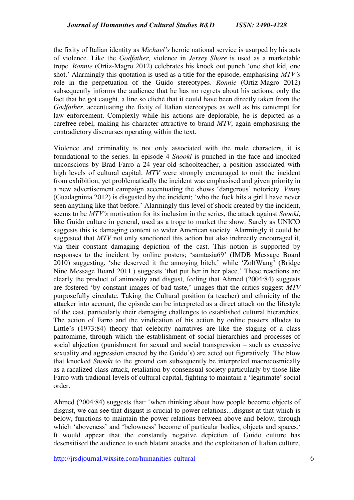the fixity of Italian identity as *Michael's* heroic national service is usurped by his acts of violence. Like the *Godfather*, violence in *Jersey Shore* is used as a marketable trope. *Ronnie* (Ortiz-Magro 2012) celebrates his knock out punch 'one shot kid, one shot.' Alarmingly this quotation is used as a title for the episode, emphasising *MTV's* role in the perpetuation of the Guido stereotypes. *Ronnie* (Ortiz-Magro 2012) subsequently informs the audience that he has no regrets about his actions, only the fact that he got caught, a line so cliché that it could have been directly taken from the *Godfather*, accentuating the fixity of Italian stereotypes as well as his contempt for law enforcement. Complexly while his actions are deplorable, he is depicted as a carefree rebel, making his character attractive to brand *MTV*, again emphasising the contradictory discourses operating within the text.

Violence and criminality is not only associated with the male characters, it is foundational to the series. In episode 4 *Snooki* is punched in the face and knocked unconscious by Brad Farro a 24-year-old schoolteacher, a position associated with high levels of cultural capital. *MTV* were strongly encouraged to omit the incident from exhibition, yet problematically the incident was emphasised and given priority in a new advertisement campaign accentuating the shows 'dangerous' notoriety. *Vinny* (Guadagninia 2012) is disgusted by the incident; 'who the fuck hits a girl I have never seen anything like that before.' Alarmingly this level of shock created by the incident, seems to be *MTV's* motivation for its inclusion in the series, the attack against *Snooki*, like Guido culture in general, used as a trope to market the show. Surely as UNICO suggests this is damaging content to wider American society. Alarmingly it could be suggested that *MTV* not only sanctioned this action but also indirectly encouraged it, via their constant damaging depiction of the cast. This notion is supported by responses to the incident by online posters; 'samtasia69' (IMDB Message Board 2010) suggesting, 'she deserved it the annoying bitch,' while 'ZolfWang' (Bridge Nine Message Board 2011.) suggests 'that put her in her place.' These reactions are clearly the product of animosity and disgust, feeling that Ahmed (2004:84) suggests are fostered 'by constant images of bad taste,' images that the critics suggest *MTV* purposefully circulate. Taking the Cultural position (a teacher) and ethnicity of the attacker into account, the episode can be interpreted as a direct attack on the lifestyle of the cast, particularly their damaging challenges to established cultural hierarchies. The action of Farro and the vindication of his action by online posters alludes to Little's (1973:84) theory that celebrity narratives are like the staging of a class pantomime, through which the establishment of social hierarchies and processes of social abjection (punishment for sexual and social transgression – such as excessive sexuality and aggression enacted by the Guido's) are acted out figuratively. The blow that knocked *Snooki* to the ground can subsequently be interpreted macrocosmically as a racalized class attack, retaliation by consensual society particularly by those like Farro with tradional levels of cultural capital, fighting to maintain a 'legitimate' social order.

Ahmed (2004:84) suggests that: 'when thinking about how people become objects of disgust, we can see that disgust is crucial to power relations…disgust at that which is below, functions to maintain the power relations between above and below, through which 'aboveness' and 'belowness' become of particular bodies, objects and spaces*.*' It would appear that the constantly negative depiction of Guido culture has desensitised the audience to such blatant attacks and the exploitation of Italian culture,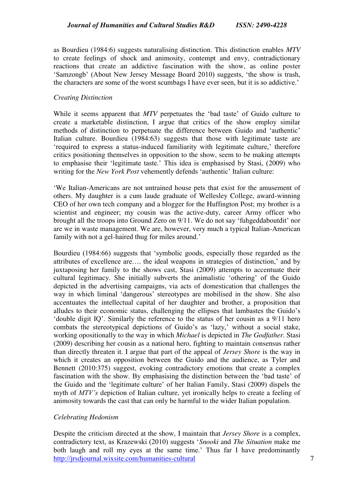as Bourdieu (1984:6) suggests naturalising distinction. This distinction enables *MTV* to create feelings of shock and animosity, contempt and envy, contradictionary reactions that create an addictive fascination with the show, as online poster 'Samzongb' (About New Jersey Message Board 2010) suggests, 'the show is trash, the characters are some of the worst scumbags I have ever seen, but it is so addictive.'

#### *Creating Distinction*

While it seems apparent that *MTV* perpetuates the 'bad taste' of Guido culture to create a marketable distinction, I argue that critics of the show employ similar methods of distinction to perpetuate the difference between Guido and 'authentic' Italian culture. Bourdieu (1984:63) suggests that those with legitimate taste are 'required to express a status-induced familiarity with legitimate culture,' therefore critics positioning themselves in opposition to the show, seem to be making attempts to emphasise their 'legitimate taste.' This idea is emphasised by Stasi, (2009) who writing for the *New York Post* vehemently defends 'authentic' Italian culture:

'We Italian-Americans are not untrained house pets that exist for the amusement of others. My daughter is a cum laude graduate of Wellesley College, award-winning CEO of her own tech company and a blogger for the Huffington Post; my brother is a scientist and engineer; my cousin was the active-duty, career Army officer who brought all the troops into Ground Zero on 9/11. We do not say 'fuhgeddaboutdit' nor are we in waste management. We are, however, very much a typical Italian-American family with not a gel-haired thug for miles around.'

Bourdieu (1984:66) suggests that 'symbolic goods, especially those regarded as the attributes of excellence are…. the ideal weapons in strategies of distinction,' and by juxtaposing her family to the shows cast, Stasi (2009) attempts to accentuate their cultural legitimacy. She initially subverts the animalistic 'othering' of the Guido depicted in the advertising campaigns, via acts of domestication that challenges the way in which liminal 'dangerous' stereotypes are mobilised in the show. She also accentuates the intellectual capital of her daughter and brother, a proposition that alludes to their economic status, challenging the ellipses that lambastes the Guido's 'double digit IQ'. Similarly the reference to the status of her cousin as a 9/11 hero combats the stereotypical depictions of Guido's as 'lazy,' without a social stake, working opositionally to the way in which *Michael* is depicted in *The Godfather*. Stasi (2009) describing her cousin as a national hero, fighting to maintain consensus rather than directly threaten it. I argue that part of the appeal of *Jersey Shore* is the way in which it creates an opposition between the Guido and the audience, as Tyler and Bennett (2010:375) suggest, evoking contradictory emotions that create a complex fascination with the show. By emphasising the distinction between the 'bad taste' of the Guido and the 'legitimate culture' of her Italian Family, Stasi (2009) dispels the myth of *MTV's* depiction of Italian culture, yet ironically helps to create a feeling of animosity towards the cast that can only be harmful to the wider Italian population.

## *Celebrating Hedonism*

http://irsdiournal.wixsite.com/humanities-cultural 7 Despite the criticism directed at the show, I maintain that *Jersey Shore* is a complex, contradictory text, as Krazewski (2010) suggests '*Snooki* and *The Situation* make me both laugh and roll my eyes at the same time.' Thus far I have predominantly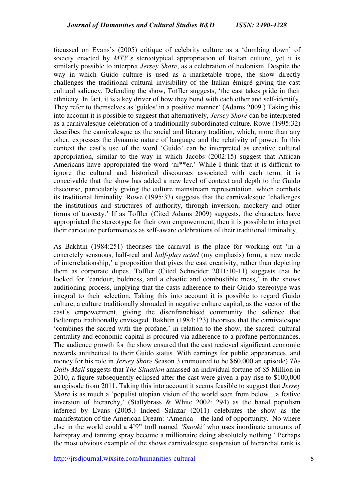focussed on Evans's (2005) critique of celebrity culture as a 'dumbing down' of society enacted by *MTV's* stereotypical appropriation of Italian culture, yet it is similarly possible to interpret *Jersey Shore*, as a celebration of hedonism. Despite the way in which Guido culture is used as a marketable trope, the show directly challenges the traditional cultural invisibility of the Italian émigré giving the cast cultural saliency. Defending the show, Toffler suggests, 'the cast takes pride in their ethnicity. In fact, it is a key driver of how they bond with each other and self-identify. They refer to themselves as 'guidos' in a positive manner' (Adams 2009.) Taking this into account it is possible to suggest that alternatively, *Jersey Shore* can be interpreted as a carnivalesque celebration of a traditionally subordinated culture. Rowe (1995:32) describes the carnivalesque as the social and literary tradition, which, more than any other, expresses the dynamic nature of language and the relativity of power. In this context the cast's use of the word 'Guido' can be interpreted as creative cultural appropriation, similar to the way in which Jacobs (2002:15) suggest that African Americans have appropriated the word 'ni\*\*er.' While I think that it is difficult to ignore the cultural and historical discourses associated with each term, it is conceivable that the show has added a new level of context and depth to the Guido discourse, particularly giving the culture mainstream representation, which combats its traditional liminality. Rowe (1995:33) suggests that the carnivalesque 'challenges the institutions and structures of authority, through inversion, mockery and other forms of travesty.' If as Toffler (Cited Adams 2009) suggests, the characters have appropriated the stereotype for their own empowerment, then it is possible to interpret their caricature performances as self-aware celebrations of their traditional liminality.

As Bakhtin (1984:251) theorises the carnival is the place for working out 'in a concretely sensuous, half-real and *half-play acted* (my emphasis) form, a new mode of interrelationship,' a proposition that gives the cast creativity, rather than depicting them as corporate dupes. Toffler (Cited Schneider 2011:10-11) suggests that he looked for 'candour, boldness, and a chaotic and combustible mess,' in the shows auditioning process, implying that the casts adherence to their Guido stereotype was integral to their selection. Taking this into account it is possible to regard Guido culture, a culture traditionally shrouded in negative culture capital, as the vector of the cast's empowerment, giving the disenfranchised community the salience that Beltempo traditionally envisaged. Bakhtin (1984:123) theorises that the carnivalesque 'combines the sacred with the profane,' in relation to the show, the sacred: cultural centrality and economic capital is procured via adherence to a profane performances. The audience growth for the show ensured that the cast recieved significant economic rewards antithetical to their Guido status. With earnings for public appearances, and money for his role in *Jersey Shore* Season 3 (rumoured to be \$60,000 an episode) *The Daily Mail* suggests that *The Situation* amassed an individual fortune of \$5 Million in 2010, a figure subsequently eclipsed after the cast were given a pay rise to \$100,000 an episode from 2011. Taking this into account it seems feasible to suggest that *Jersey Shore* is as much a 'populist utopian vision of the world seen from below...a festive inversion of hierarchy,' (Stallybrass & White 2002: 294) as the banal populism inferred by Evans (2005.) Indeed Salazar (2011) celebrates the show as the manifestation of the American Dream: 'America – the land of opportunity. No where else in the world could a 4'9" troll named *'Snooki'* who uses inordinate amounts of hairspray and tanning spray become a millionaire doing absolutely nothing.' Perhaps the most obvious example of the shows carnivalesque suspension of hierarchal rank is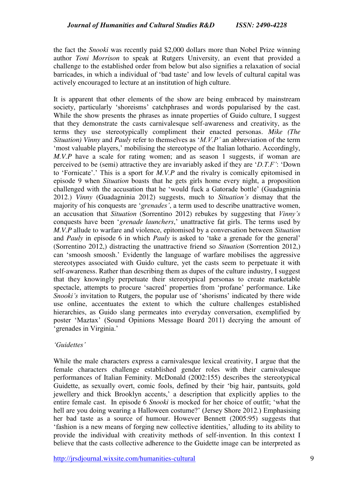the fact the *Snooki* was recently paid \$2,000 dollars more than Nobel Prize winning author *Toni Morrison* to speak at Rutgers University, an event that provided a challenge to the established order from below but also signifies a relaxation of social barricades, in which a individual of 'bad taste' and low levels of cultural capital was actively encouraged to lecture at an institution of high culture.

It is apparent that other elements of the show are being embraced by mainstream society, particularly 'shoreisms' catchphrases and words popularised by the cast. While the show presents the phrases as innate properties of Guido culture, I suggest that they demonstrate the casts carnivalesque self-awareness and creativity, as the terms they use stereotypically compliment their enacted personas. *Mike (The Situation) Vinny* and *Pauly* refer to themselves as '*M.V.P'* an abbreviation of the term 'most valuable players,' mobilising the stereotype of the Italian lothario. Accordingly, *M.V.P* have a scale for rating women; and as season 1 suggests, if woman are perceived to be (semi) attractive they are invariably asked if they are '*D.T.F'*: 'Down to 'Fornicate'.' This is a sport for *M.V.P* and the rivalry is comically epitomised in episode 9 when *Situation* boasts that he gets girls home every night, a proposition challenged with the accusation that he 'would fuck a Gatorade bottle' (Guadagninia 2012.) *Vinny* (Guadagninia 2012) suggests, much to *Situation's* dismay that the majority of his conquests are '*grenades'*, a term used to describe unattractive women, an accusation that *Situation* (Sorrentino 2012) rebukes by suggesting that *Vinny's* conquests have been '*grenade launchers*,' unattractive fat girls. The terms used by *M.V.P* allude to warfare and violence, epitomised by a conversation between *Situation* and *Pauly* in episode 6 in which *Pauly* is asked to 'take a grenade for the general' (Sorrentino 2012,) distracting the unattractive friend so *Situation* (Sorrention 2012,) can 'smoosh smoosh.' Evidently the language of warfare mobilises the aggressive stereotypes associated with Guido culture, yet the casts seem to perpetuate it with self-awareness. Rather than describing them as dupes of the culture industry, I suggest that they knowingly perpetuate their stereotypical personas to create marketable spectacle, attempts to procure 'sacred' properties from 'profane' performance. Like *Snooki's* invitation to Rutgers, the popular use of 'shorisms' indicated by there wide use online, accentuates the extent to which the culture challenges established hierarchies, as Guido slang permeates into everyday conversation, exemplified by poster 'Maztax' (Sound Opinions Message Board 2011) decrying the amount of 'grenades in Virginia.'

## *'Guidettes'*

While the male characters express a carnivalesque lexical creativity, I argue that the female characters challenge established gender roles with their carnivalesque performances of Italian Feminity. McDonald (2002:155) describes the stereotypical Guidette, as sexually overt, comic fools, defined by their 'big hair, pantsuits, gold jewellery and thick Brooklyn accents,' a description that explicitly applies to the entire female cast. In episode 6 *Snooki* is mocked for her choice of outfit; 'what the hell are you doing wearing a Halloween costume?' (Jersey Shore 2012.) Emphasising her bad taste as a source of humour. However Bennett (2005:95) suggests that 'fashion is a new means of forging new collective identities,' alluding to its ability to provide the individual with creativity methods of self-invention. In this context I believe that the casts collective adherence to the Guidette image can be interpreted as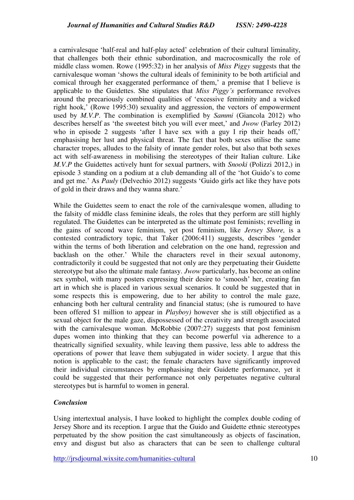a carnivalesque 'half-real and half-play acted' celebration of their cultural liminality, that challenges both their ethnic subordination, and macrocosmically the role of middle class women. Rowe (1995:32) in her analysis of *Miss Piggy* suggests that the carnivalesque woman 'shows the cultural ideals of femininity to be both artificial and comical through her exaggerated performance of them,' a premise that I believe is applicable to the Guidettes. She stipulates that *Miss Piggy's* performance revolves around the precariously combined qualities of 'excessive femininity and a wicked right hook,' (Rowe 1995:30) sexuality and aggression, the vectors of empowerment used by *M.V.P*. The combination is exemplified by *Sammi* (Giancola 2012) who describes herself as 'the sweetest bitch you will ever meet,' and *Jwow* (Farley 2012) who in episode 2 suggests 'after I have sex with a guy I rip their heads off,' emphasising her lust and physical threat. The fact that both sexes utilise the same character tropes, alludes to the falsity of innate gender roles, but also that both sexes act with self-awareness in mobilising the stereotypes of their Italian culture. Like *M.V.P* the Guidettes actively hunt for sexual partners, with *Snooki* (Polizzi 2012,) in episode 3 standing on a podium at a club demanding all of the 'hot Guido's to come and get me.' As *Pauly* (Delvechio 2012) suggests 'Guido girls act like they have pots of gold in their draws and they wanna share.'

While the Guidettes seem to enact the role of the carnivalesque women, alluding to the falsity of middle class feminine ideals, the roles that they perform are still highly regulated. The Guidettes can be interpreted as the ultimate post feminists; revelling in the gains of second wave feminism, yet post feminism, like *Jersey Shore,* is a contested contradictory topic, that Taker (2006:411) suggests, describes 'gender within the terms of both liberation and celebration on the one hand, regression and backlash on the other.' While the characters revel in their sexual autonomy, contradictorily it could be suggested that not only are they perpetuating their Guidette stereotype but also the ultimate male fantasy. *Jwow* particularly, has become an online sex symbol, with many posters expressing their desire to 'smoosh' her, creating fan art in which she is placed in various sexual scenarios. It could be suggested that in some respects this is empowering, due to her ability to control the male gaze, enhancing both her cultural centrality and financial status; (she is rumoured to have been offered \$1 million to appear in *Playboy)* however she is still objectified as a sexual object for the male gaze, dispossessed of the creativity and strength associated with the carnivalesque woman. McRobbie (2007:27) suggests that post feminism dupes women into thinking that they can become powerful via adherence to a theatrically signified sexuality, while leaving them passive, less able to address the operations of power that leave them subjugated in wider society. I argue that this notion is applicable to the cast; the female characters have significantly improved their individual circumstances by emphasising their Guidette performance, yet it could be suggested that their performance not only perpetuates negative cultural stereotypes but is harmful to women in general.

# *Conclusion*

Using intertextual analysis, I have looked to highlight the complex double coding of Jersey Shore and its reception. I argue that the Guido and Guidette ethnic stereotypes perpetuated by the show position the cast simultaneously as objects of fascination, envy and disgust but also as characters that can be seen to challenge cultural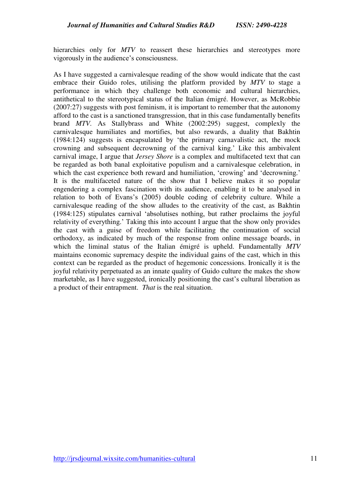hierarchies only for *MTV* to reassert these hierarchies and stereotypes more vigorously in the audience's consciousness.

As I have suggested a carnivalesque reading of the show would indicate that the cast embrace their Guido roles, utilising the platform provided by *MTV* to stage a performance in which they challenge both economic and cultural hierarchies, antithetical to the stereotypical status of the Italian émigré. However, as McRobbie (2007:27) suggests with post feminism, it is important to remember that the autonomy afford to the cast is a sanctioned transgression, that in this case fundamentally benefits brand *MTV*. As Stallybrass and White (2002:295) suggest, complexly the carnivalesque humiliates and mortifies, but also rewards, a duality that Bakhtin (1984:124) suggests is encapsulated by 'the primary carnavalistic act, the mock crowning and subsequent decrowning of the carnival king.' Like this ambivalent carnival image, I argue that *Jersey Shore* is a complex and multifaceted text that can be regarded as both banal exploitative populism and a carnivalesque celebration, in which the cast experience both reward and humiliation, 'crowing' and 'decrowning.' It is the multifaceted nature of the show that I believe makes it so popular engendering a complex fascination with its audience, enabling it to be analysed in relation to both of Evans's (2005) double coding of celebrity culture. While a carnivalesque reading of the show alludes to the creativity of the cast, as Bakhtin (1984:125) stipulates carnival 'absolutises nothing, but rather proclaims the joyful relativity of everything.' Taking this into account I argue that the show only provides the cast with a guise of freedom while facilitating the continuation of social orthodoxy, as indicated by much of the response from online message boards, in which the liminal status of the Italian émigré is upheld. Fundamentally *MTV* maintains economic supremacy despite the individual gains of the cast, which in this context can be regarded as the product of hegemonic concessions. Ironically it is the joyful relativity perpetuated as an innate quality of Guido culture the makes the show marketable, as I have suggested, ironically positioning the cast's cultural liberation as a product of their entrapment. *That* is the real situation.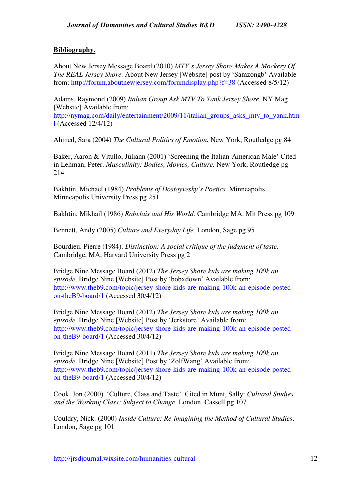## **Bibliography**.

About New Jersey Message Board (2010) *MTV's Jersey Shore Makes A Mockery Of The REAL Jersey Shore.* About New Jersey [Website] post by 'Samzongb' Available from:<http://forum.aboutnewjersey.com/forumdisplay.php?f=38>(Accessed 8/5/12)

Adams, Raymond (2009) *Italian Group Ask MTV To Yank Jersey Shore.* NY Mag [Website] Available from:

[http://nymag.com/daily/entertainment/2009/11/italian\\_groups\\_asks\\_mtv\\_to\\_yank.htm](http://nymag.com/daily/entertainment/2009/11/italian_groups_asks_mtv_to_yank.html) [l](http://nymag.com/daily/entertainment/2009/11/italian_groups_asks_mtv_to_yank.html) (Accessed 12/4/12)

Ahmed, Sara (2004) *The Cultural Politics of Emotion.* New York, Routledge pg 84

Baker, Aaron & Vitullo, Juliann (2001) 'Screening the Italian-American Male' Cited in Lehman, Peter. *Masculinity: Bodies, Movies, Culture,* New York, Routledge pg 214

Bakhtin, Michael (1984) *Problems of Dostoyvesky's Poetics.* Minneapolis, Minneapolis University Press pg 251

Bakhtin, Mikhail (1986) *Rabelais and His World.* Cambridge MA. Mit Press pg 109

Bennett, Andy (2005) *Culture and Everyday Life*. London, Sage pg 95

Bourdieu. Pierre (1984). *Distinction: A social critique of the judgment of taste*. Cambridge, MA, Harvard University Press pg 2

Bridge Nine Message Board (2012) *The Jersey Shore kids are making 100k an episode.* Bridge Nine [Website] Post by 'bobxdown' Available from: [http://www.theb9.com/topic/jersey-shore-kids-are-making-100k-an-episode-posted](http://www.theb9.com/topic/jersey-shore-kids-are-making-100k-an-episode-posted-on-theB9-board/1)[on-theB9-board/1](http://www.theb9.com/topic/jersey-shore-kids-are-making-100k-an-episode-posted-on-theB9-board/1) (Accessed 30/4/12)

Bridge Nine Message Board (2012) *The Jersey Shore kids are making 100k an episode.* Bridge Nine [Website] Post by 'Jerkstore' Available from: [http://www.theb9.com/topic/jersey-shore-kids-are-making-100k-an-episode-posted](http://www.theb9.com/topic/jersey-shore-kids-are-making-100k-an-episode-posted-on-theB9-board/1)[on-theB9-board/1](http://www.theb9.com/topic/jersey-shore-kids-are-making-100k-an-episode-posted-on-theB9-board/1) (Accessed 30/4/12)

Bridge Nine Message Board (2011) *The Jersey Shore kids are making 100k an episode.* Bridge Nine [Website] Post by 'ZolfWang' Available from: [http://www.theb9.com/topic/jersey-shore-kids-are-making-100k-an-episode-posted](http://www.theb9.com/topic/jersey-shore-kids-are-making-100k-an-episode-posted-on-theB9-board/1)[on-theB9-board/1](http://www.theb9.com/topic/jersey-shore-kids-are-making-100k-an-episode-posted-on-theB9-board/1) (Accessed 30/4/12)

Cook. Jon (2000). 'Culture, Class and Taste'. Cited in Munt, Sally: *Cultural Studies and the Working Class: Subject to Change*. London, Cassell pg 107

Couldry, Nick. (2000) *Inside Culture: Re-imagining the Method of Cultural Studies*. London, Sage pg 101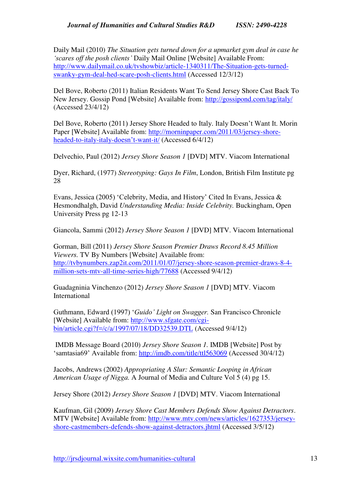Daily Mail (2010) *The Situation gets turned down for a upmarket gym deal in case he 'scares off the posh clients'* Daily Mail Online [Website] Available From: [http://www.dailymail.co.uk/tvshowbiz/article-1340311/The-Situation-gets-turned](http://www.dailymail.co.uk/tvshowbiz/article-1340311/The-Situation-gets-turned-swanky-gym-deal-hed-scare-posh-clients.html)[swanky-gym-deal-hed-scare-posh-clients.html](http://www.dailymail.co.uk/tvshowbiz/article-1340311/The-Situation-gets-turned-swanky-gym-deal-hed-scare-posh-clients.html) (Accessed 12/3/12)

Del Bove, Roberto (2011) Italian Residents Want To Send Jersey Shore Cast Back To New Jersey. Gossip Pond [Website] Available from:<http://gossipond.com/tag/italy/> (Accessed 23/4/12)

Del Bove, Roberto (2011) Jersey Shore Headed to Italy. Italy Doesn't Want It. Morin Paper [Website] Available from: [http://morninpaper.com/2011/03/jersey-shore](http://morninpaper.com/2011/03/jersey-shore-headed-to-italy-italy-doesn)[headed-to-italy-italy-](http://morninpaper.com/2011/03/jersey-shore-headed-to-italy-italy-doesn)doesn't-want-it/ (Accessed 6/4/12)

Delvechio, Paul (2012) *Jersey Shore Season 1* [DVD] MTV. Viacom International

Dyer, Richard, (1977) *Stereotyping: Gays In Film*, London, British Film Institute pg 28

Evans, Jessica (2005) 'Celebrity, Media, and History' Cited In Evans, Jessica & Hesmondhalgh, David *Understanding Media: Inside Celebrity.* Buckingham, Open University Press pg 12-13

Giancola, Sammi (2012) *Jersey Shore Season 1* [DVD] MTV. Viacom International

Gorman, Bill (2011) *Jersey Shore Season Premier Draws Record 8.45 Million Viewers.* TV By Numbers [Website] Available from: [http://tvbynumbers.zap2it.com/2011/01/07/jersey-shore-season-premier-draws-8-4](http://tvbynumbers.zap2it.com/2011/01/07/jersey-shore-season-premier-draws-8-4-million-sets-mtv-all-time-series-high/77688) [million-sets-mtv-all-time-series-high/77688](http://tvbynumbers.zap2it.com/2011/01/07/jersey-shore-season-premier-draws-8-4-million-sets-mtv-all-time-series-high/77688) (Accessed 9/4/12)

Guadagninia Vinchenzo (2012) *Jersey Shore Season 1* [DVD] MTV. Viacom International

Guthmann, Edward (1997) '*Guido' Light on Swagger.* San Francisco Chronicle [Website] Available from: [http://www.sfgate.com/cgi](http://www.sfgate.com/cgi-bin/article.cgi?f=/c/a/1997/07/18/DD32539.DTL)[bin/article.cgi?f=/c/a/1997/07/18/DD32539.DTL](http://www.sfgate.com/cgi-bin/article.cgi?f=/c/a/1997/07/18/DD32539.DTL) (Accessed 9/4/12)

 IMDB Message Board (2010) *Jersey Shore Season 1.* IMDB [Website] Post by 'samtasia69' Available from: <http://imdb.com/title/ttl563069>(Accessed 30/4/12)

Jacobs, Andrews (2002) *Appropriating A Slur: Semantic Looping in African American Usage of Nigga.* A Journal of Media and Culture Vol 5 (4) pg 15.

Jersey Shore (2012) *Jersey Shore Season 1* [DVD] MTV. Viacom International

Kaufman, Gil (2009) *Jersey Shore Cast Members Defends Show Against Detractors*. MTV [Website] Available from: [http://www.mtv.com/news/articles/1627353/jersey](http://www.mtv.com/news/articles/1627353/jersey-shore-castmembers-defends-show-against-detractors.jhtml)[shore-castmembers-defends-show-against-detractors.jhtml](http://www.mtv.com/news/articles/1627353/jersey-shore-castmembers-defends-show-against-detractors.jhtml) (Accessed 3/5/12)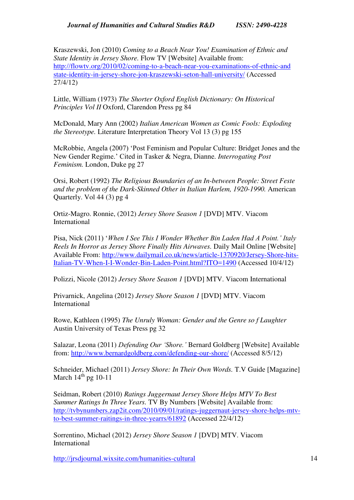Kraszewski, Jon (2010) *Coming to a Beach Near You! Examination of Ethnic and State Identity in Jersey Shore.* Flow TV [Website] Available from: [http://flowtv.org/2010/02/coming-to-a-beach-near-you-examinations-of-ethnic-and](http://flowtv.org/2010/02/coming-to-a-beach-near-you-examinations-of-ethnic-and-state-identity-in-jersey-shore-jon-kraszewski-seton-hall-university/)  [state-identity-in-jersey-shore-jon-kraszewski-seton-hall-university/](http://flowtv.org/2010/02/coming-to-a-beach-near-you-examinations-of-ethnic-and-state-identity-in-jersey-shore-jon-kraszewski-seton-hall-university/) (Accessed 27/4/12)

Little, William (1973) *The Shorter Oxford English Dictionary: On Historical Principles Vol II* Oxford, Clarendon Press pg 84

McDonald, Mary Ann (2002) *Italian American Women as Comic Fools: Exploding the Stereotype.* Literature Interpretation Theory Vol 13 (3) pg 155

McRobbie, Angela (2007) 'Post Feminism and Popular Culture: Bridget Jones and the New Gender Regime.' Cited in Tasker & Negra, Dianne. *Interrogating Post Feminism.* London, Duke pg 27

Orsi, Robert (1992) *The Religious Boundaries of an In-between People: Street Feste and the problem of the Dark-Skinned Other in Italian Harlem, 1920-1990.* American Quarterly. Vol 44 (3) pg 4

Ortiz-Magro. Ronnie, (2012) *Jersey Shore Season 1* [DVD] MTV. Viacom International

Pisa, Nick (2011) '*When I See This I Wonder Whether Bin Laden Had A Point.' Italy Reels In Horror as Jersey Shore Finally Hits Airwaves.* Daily Mail Online [Website] Available From: [http://www.dailymail.co.uk/news/article-1370920/Jersey-Shore-hits-](http://www.dailymail.co.uk/news/article-1370920/Jersey-Shore-hits-Italian-TV-When-I-I-Wonder-Bin-Laden-Point.html?ITO=1490)[Italian-TV-When-I-I-Wonder-Bin-Laden-Point.html?ITO=1490](http://www.dailymail.co.uk/news/article-1370920/Jersey-Shore-hits-Italian-TV-When-I-I-Wonder-Bin-Laden-Point.html?ITO=1490) (Accessed 10/4/12)

Polizzi, Nicole (2012) *Jersey Shore Season 1* [DVD] MTV. Viacom International

Privarnick, Angelina (2012) *Jersey Shore Season 1* [DVD] MTV. Viacom International

Rowe, Kathleen (1995) *The Unruly Woman: Gender and the Genre so f Laughter* Austin University of Texas Press pg 32

Salazar, Leona (2011) *Defending Our 'Shore.'* Bernard Goldberg [Website] Available from:<http://www.bernardgoldberg.com/defending-our-shore/>(Accessed 8/5/12)

Schneider, Michael (2011) *Jersey Shore: In Their Own Words.* T.V Guide [Magazine] March  $14<sup>th</sup>$  pg 10-11

Seidman, Robert (2010) *Ratings Juggernaut Jersey Shore Helps MTV To Best Summer Ratings In Three Years.* TV By Numbers [Website] Available from: [http://tvbynumbers.zap2it.com/2010/09/01/ratings-juggernaut-jersey-shore-helps-mtv](http://tvbynumbers.zap2it.com/2010/09/01/ratings-juggernaut-jersey-shore-helps-mtv-to-best-summer-raitings-in-three-yearrs/61892)[to-best-summer-raitings-in-three-yearrs/61892](http://tvbynumbers.zap2it.com/2010/09/01/ratings-juggernaut-jersey-shore-helps-mtv-to-best-summer-raitings-in-three-yearrs/61892) (Accessed 22/4/12)

Sorrentino, Michael (2012) *Jersey Shore Season 1* [DVD] MTV. Viacom International